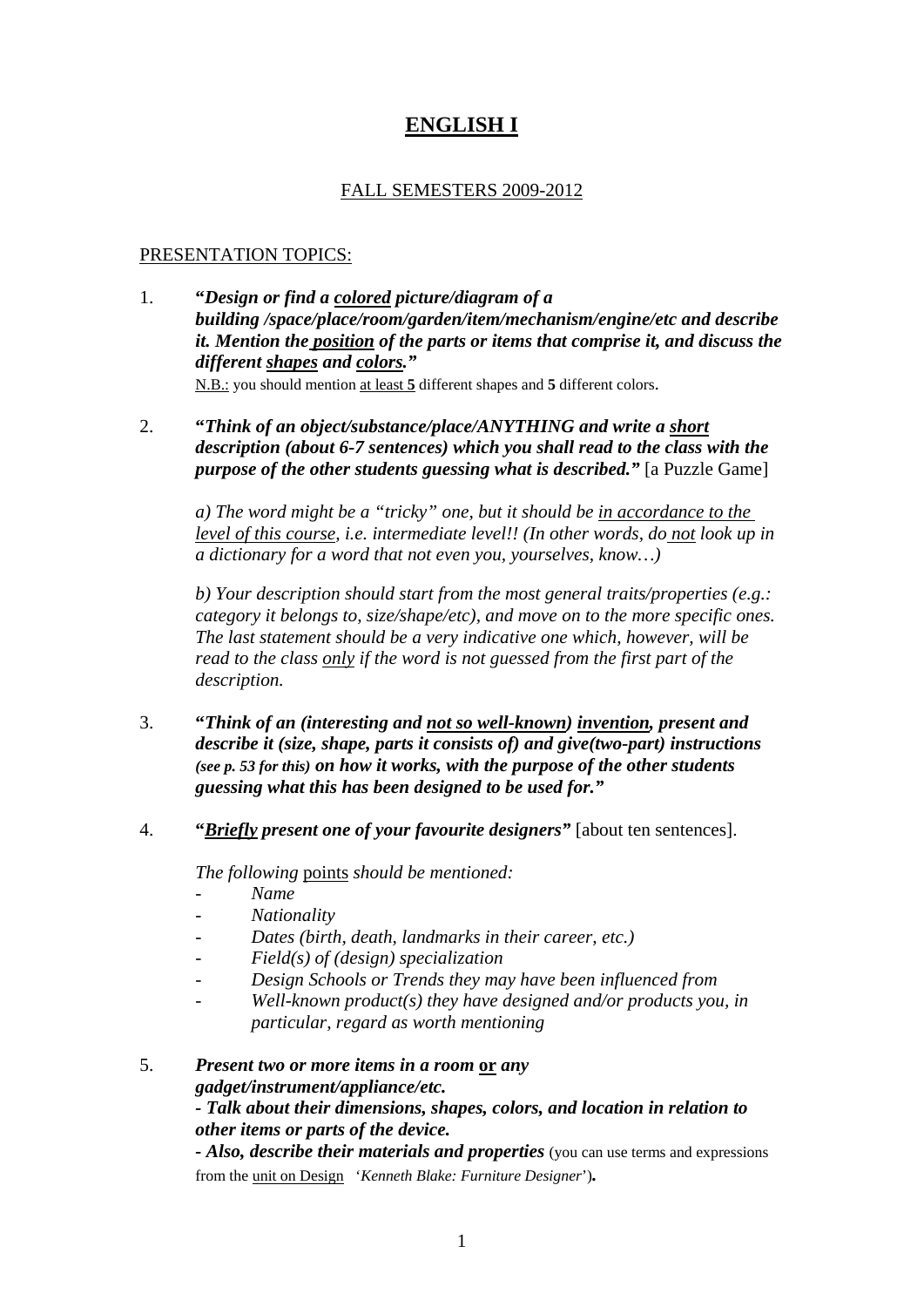## **ENGLISH I**

## FALL SEMESTERS 2009-2012

## PRESENTATION TOPICS:

- 1. **"***Design or find a colored picture/diagram of a building /space/place/room/garden/item/mechanism/engine/etc and describe it. Mention the position of the parts or items that comprise it, and discuss the different shapes and colors."*  N.B.: you should mention at least **5** different shapes and **5** different colors.
- 2. **"***Think of an object/substance/place/ANYTHING and write a short description (about 6-7 sentences) which you shall read to the class with the purpose of the other students guessing what is described."* [a Puzzle Game]

 *a) The word might be a "tricky" one, but it should be in accordance to the level of this course, i.e. intermediate level!! (In other words, do not look up in a dictionary for a word that not even you, yourselves, know…)* 

*b) Your description should start from the most general traits/properties (e.g.: category it belongs to, size/shape/etc), and move on to the more specific ones. The last statement should be a very indicative one which, however, will be read to the class only if the word is not guessed from the first part of the description.* 

- 3. **"***Think of an (interesting and not so well-known) invention, present and describe it (size, shape, parts it consists of) and give(two-part) instructions (see p. 53 for this) on how it works, with the purpose of the other students guessing what this has been designed to be used for."*
- 4. **"***Briefly present one of your favourite designers"* [about ten sentences].

*The following* points *should be mentioned:* 

- *Name*
- *Nationality*
- *Dates (birth, death, landmarks in their career, etc.)*
- *Field(s) of (design) specialization*
- *Design Schools or Trends they may have been influenced from*
- *Well-known product(s) they have designed and/or products you, in particular, regard as worth mentioning*

5. *Present two or more items in a room* **or** *any gadget/instrument/appliance/etc. - Talk about their dimensions, shapes, colors, and location in relation to other items or parts of the device. - Also, describe their materials and properties* (you can use terms and expressions from the unit on Design '*Kenneth Blake: Furniture Designer*')*.*